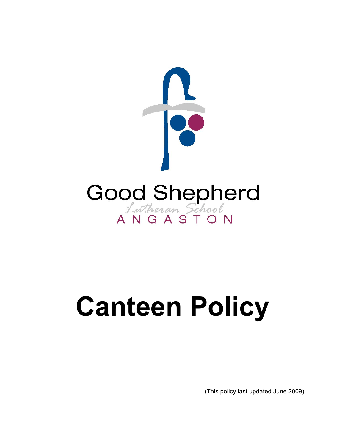

# **Canteen Policy**

(This policy last updated June 2009)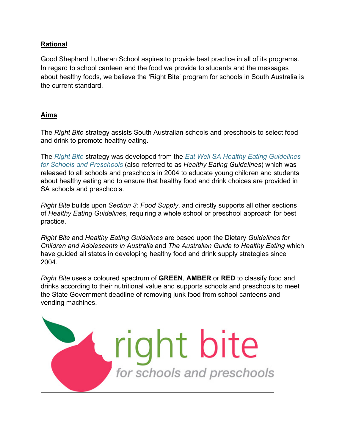## **Rational**

Good Shepherd Lutheran School aspires to provide best practice in all of its programs. In regard to school canteen and the food we provide to students and the messages about healthy foods, we believe the 'Right Bite' program for schools in South Australia is the current standard.

## **Aims**

The *Right Bite* strategy assists South Australian schools and preschools to select food and drink to promote healthy eating.

The *Right Bite* strategy was developed from the *Eat Well SA Healthy Eating Guidelines for Schools and Preschools* (also referred to as *Healthy Eating Guidelines*) which was released to all schools and preschools in 2004 to educate young children and students about healthy eating and to ensure that healthy food and drink choices are provided in SA schools and preschools.

*Right Bite* builds upon *Section 3: Food Supply*, and directly supports all other sections of *Healthy Eating Guidelines*, requiring a whole school or preschool approach for best practice.

*Right Bite* and *Healthy Eating Guidelines* are based upon the Dietary *Guidelines for Children and Adolescents in Australia* and *The Australian Guide to Healthy Eating* which have guided all states in developing healthy food and drink supply strategies since 2004.

*Right Bite* uses a coloured spectrum of **GREEN**, **AMBER** or **RED** to classify food and drinks according to their nutritional value and supports schools and preschools to meet the State Government deadline of removing junk food from school canteens and vending machines.

right bite

for schools and preschools